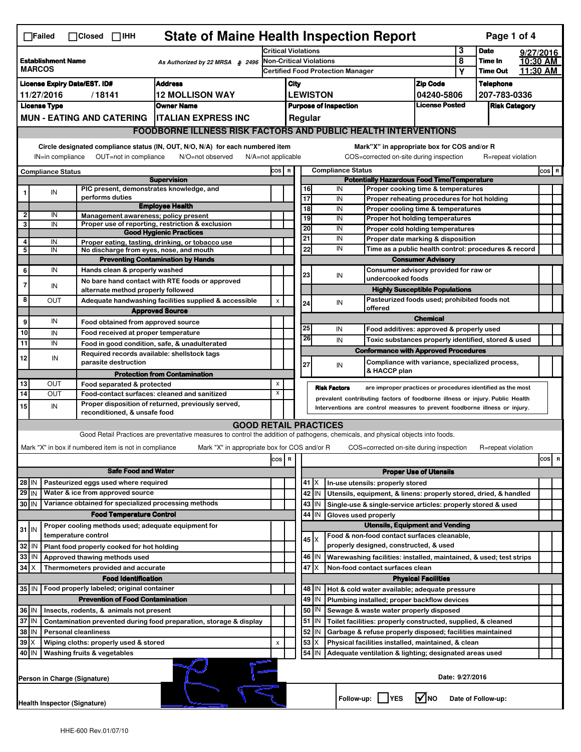| <b>State of Maine Health Inspection Report</b><br>Page 1 of 4<br>$\Box$ Failed<br>$\Box$ Closed $\Box$ IHH |                                                                                                                                                                           |                          |                                                                                          |                                                                                                                                   |                                                                     |         |                                                                                                                             |               |                     |                                                                                          |                               |                            |                      |  |          |  |
|------------------------------------------------------------------------------------------------------------|---------------------------------------------------------------------------------------------------------------------------------------------------------------------------|--------------------------|------------------------------------------------------------------------------------------|-----------------------------------------------------------------------------------------------------------------------------------|---------------------------------------------------------------------|---------|-----------------------------------------------------------------------------------------------------------------------------|---------------|---------------------|------------------------------------------------------------------------------------------|-------------------------------|----------------------------|----------------------|--|----------|--|
| <b>Establishment Name</b><br>As Authorized by 22 MRSA § 2496<br><b>MARCOS</b>                              |                                                                                                                                                                           |                          |                                                                                          |                                                                                                                                   | <b>Critical Violations</b>                                          |         |                                                                                                                             |               |                     | 3                                                                                        | <b>Date</b>                   | 9/27/2016                  |                      |  |          |  |
|                                                                                                            |                                                                                                                                                                           |                          |                                                                                          |                                                                                                                                   | Non-Critical Violations<br><b>Certified Food Protection Manager</b> |         |                                                                                                                             |               |                     |                                                                                          | 8<br>Υ                        | Time In<br><b>Time Out</b> | 10:30 AM<br>11:30 AM |  |          |  |
|                                                                                                            | <b>Address</b><br><b>License Expiry Date/EST. ID#</b>                                                                                                                     |                          |                                                                                          |                                                                                                                                   |                                                                     |         | City<br><b>Zip Code</b>                                                                                                     |               |                     |                                                                                          |                               |                            | <b>Telephone</b>     |  |          |  |
| <b>12 MOLLISON WAY</b><br>11/27/2016<br>/18141                                                             |                                                                                                                                                                           |                          |                                                                                          |                                                                                                                                   |                                                                     |         | <b>LEWISTON</b>                                                                                                             |               |                     |                                                                                          | 04240-5806                    |                            | 207-783-0336         |  |          |  |
| <b>Owner Name</b><br><b>License Type</b>                                                                   |                                                                                                                                                                           |                          |                                                                                          |                                                                                                                                   |                                                                     |         | <b>License Posted</b><br><b>Purpose of Inspection</b>                                                                       |               |                     |                                                                                          |                               | <b>Risk Category</b>       |                      |  |          |  |
| <b>MUN - EATING AND CATERING</b><br><b>ITALIAN EXPRESS INC</b>                                             |                                                                                                                                                                           |                          |                                                                                          |                                                                                                                                   |                                                                     | Regular |                                                                                                                             |               |                     |                                                                                          |                               |                            |                      |  |          |  |
|                                                                                                            |                                                                                                                                                                           |                          |                                                                                          | <b>FOODBORNE ILLNESS RISK FACTORS AND PUBLIC HEALTH INTERVENTIONS</b>                                                             |                                                                     |         |                                                                                                                             |               |                     |                                                                                          |                               |                            |                      |  |          |  |
|                                                                                                            |                                                                                                                                                                           |                          |                                                                                          |                                                                                                                                   |                                                                     |         |                                                                                                                             |               |                     |                                                                                          |                               |                            |                      |  |          |  |
|                                                                                                            | Circle designated compliance status (IN, OUT, N/O, N/A) for each numbered item<br>IN=in compliance<br>OUT=not in compliance<br>N/O=not observed<br>$N/A = not$ applicable |                          |                                                                                          |                                                                                                                                   |                                                                     |         |                                                                                                                             |               |                     | Mark"X" in appropriate box for COS and/or R<br>COS=corrected on-site during inspection   |                               |                            | R=repeat violation   |  |          |  |
|                                                                                                            |                                                                                                                                                                           | <b>Compliance Status</b> |                                                                                          |                                                                                                                                   | COS R                                                               |         | <b>Compliance Status</b>                                                                                                    |               |                     |                                                                                          |                               |                            |                      |  | COS R    |  |
|                                                                                                            |                                                                                                                                                                           |                          | PIC present, demonstrates knowledge, and                                                 | <b>Supervision</b>                                                                                                                |                                                                     |         | 16                                                                                                                          |               | IN                  | <b>Potentially Hazardous Food Time/Temperature</b><br>Proper cooking time & temperatures |                               |                            |                      |  |          |  |
|                                                                                                            |                                                                                                                                                                           | IN                       | performs duties                                                                          |                                                                                                                                   |                                                                     |         | 17                                                                                                                          |               | IN                  | Proper reheating procedures for hot holding                                              |                               |                            |                      |  |          |  |
|                                                                                                            |                                                                                                                                                                           |                          |                                                                                          | <b>Employee Health</b>                                                                                                            |                                                                     |         | 18                                                                                                                          |               | IN                  | Proper cooling time & temperatures                                                       |                               |                            |                      |  |          |  |
| $\overline{\mathbf{2}}$<br>3                                                                               |                                                                                                                                                                           | IN<br>IN                 | Management awareness; policy present                                                     | Proper use of reporting, restriction & exclusion                                                                                  |                                                                     |         | 19                                                                                                                          |               | IN                  | Proper hot holding temperatures                                                          |                               |                            |                      |  |          |  |
|                                                                                                            |                                                                                                                                                                           |                          |                                                                                          | <b>Good Hygienic Practices</b>                                                                                                    |                                                                     |         | 20                                                                                                                          |               | IN                  | Proper cold holding temperatures                                                         |                               |                            |                      |  |          |  |
| 4                                                                                                          |                                                                                                                                                                           | IN                       |                                                                                          | Proper eating, tasting, drinking, or tobacco use                                                                                  |                                                                     |         | 21                                                                                                                          |               | IN                  | Proper date marking & disposition                                                        |                               |                            |                      |  |          |  |
| 5                                                                                                          |                                                                                                                                                                           | IN                       | No discharge from eyes, nose, and mouth                                                  |                                                                                                                                   |                                                                     |         | 22                                                                                                                          |               | IN                  | Time as a public health control: procedures & record<br><b>Consumer Advisory</b>         |                               |                            |                      |  |          |  |
| 6                                                                                                          |                                                                                                                                                                           | IN                       | Hands clean & properly washed                                                            | <b>Preventing Contamination by Hands</b>                                                                                          |                                                                     |         |                                                                                                                             |               |                     | Consumer advisory provided for raw or                                                    |                               |                            |                      |  |          |  |
|                                                                                                            |                                                                                                                                                                           |                          |                                                                                          | No bare hand contact with RTE foods or approved                                                                                   |                                                                     |         | 23                                                                                                                          |               | IN                  | undercooked foods                                                                        |                               |                            |                      |  |          |  |
| 7                                                                                                          |                                                                                                                                                                           | IN                       | alternate method properly followed                                                       |                                                                                                                                   |                                                                     |         |                                                                                                                             |               |                     | <b>Highly Susceptible Populations</b>                                                    |                               |                            |                      |  |          |  |
| 8                                                                                                          |                                                                                                                                                                           | ΟUΤ                      |                                                                                          | Adequate handwashing facilities supplied & accessible                                                                             | $\pmb{\mathsf{x}}$                                                  |         | 24                                                                                                                          |               | IN                  | Pasteurized foods used; prohibited foods not                                             |                               |                            |                      |  |          |  |
|                                                                                                            |                                                                                                                                                                           |                          |                                                                                          | <b>Approved Source</b>                                                                                                            |                                                                     |         |                                                                                                                             |               |                     | offered                                                                                  |                               |                            |                      |  |          |  |
| 9                                                                                                          |                                                                                                                                                                           | IN                       | Food obtained from approved source                                                       |                                                                                                                                   |                                                                     |         | 25                                                                                                                          |               | IN                  | Food additives: approved & properly used                                                 | <b>Chemical</b>               |                            |                      |  |          |  |
| 10                                                                                                         |                                                                                                                                                                           | IN                       | Food received at proper temperature                                                      |                                                                                                                                   |                                                                     |         | 26                                                                                                                          |               | IN                  | Toxic substances properly identified, stored & used                                      |                               |                            |                      |  |          |  |
| $\overline{11}$                                                                                            |                                                                                                                                                                           | IN                       | Food in good condition, safe, & unadulterated                                            |                                                                                                                                   |                                                                     |         |                                                                                                                             |               |                     | <b>Conformance with Approved Procedures</b>                                              |                               |                            |                      |  |          |  |
| 12                                                                                                         |                                                                                                                                                                           | IN                       | Required records available: shellstock tags<br>parasite destruction                      |                                                                                                                                   |                                                                     |         | 27                                                                                                                          |               | IN                  | Compliance with variance, specialized process,                                           |                               |                            |                      |  |          |  |
|                                                                                                            |                                                                                                                                                                           |                          |                                                                                          | <b>Protection from Contamination</b>                                                                                              |                                                                     |         |                                                                                                                             |               |                     | & HACCP plan                                                                             |                               |                            |                      |  |          |  |
| 13<br>14                                                                                                   |                                                                                                                                                                           | OUT<br><b>OUT</b>        | Food separated & protected                                                               |                                                                                                                                   | X<br>X                                                              |         |                                                                                                                             |               | <b>Risk Factors</b> | are improper practices or procedures identified as the most                              |                               |                            |                      |  |          |  |
|                                                                                                            |                                                                                                                                                                           |                          | Food-contact surfaces: cleaned and sanitized                                             | Proper disposition of returned, previously served,                                                                                |                                                                     |         | prevalent contributing factors of foodborne illness or injury. Public Health                                                |               |                     |                                                                                          |                               |                            |                      |  |          |  |
| 15                                                                                                         |                                                                                                                                                                           | IN                       | reconditioned, & unsafe food                                                             |                                                                                                                                   |                                                                     |         |                                                                                                                             |               |                     | Interventions are control measures to prevent foodborne illness or injury.               |                               |                            |                      |  |          |  |
|                                                                                                            |                                                                                                                                                                           |                          |                                                                                          | <b>GOOD RETAIL PRACTICES</b>                                                                                                      |                                                                     |         |                                                                                                                             |               |                     |                                                                                          |                               |                            |                      |  |          |  |
|                                                                                                            |                                                                                                                                                                           |                          |                                                                                          | Good Retail Practices are preventative measures to control the addition of pathogens, chemicals, and physical objects into foods. |                                                                     |         |                                                                                                                             |               |                     |                                                                                          |                               |                            |                      |  |          |  |
|                                                                                                            |                                                                                                                                                                           |                          | Mark "X" in box if numbered item is not in compliance                                    | Mark "X" in appropriate box for COS and/or R                                                                                      |                                                                     |         |                                                                                                                             |               |                     | COS=corrected on-site during inspection                                                  |                               |                            | R=repeat violation   |  |          |  |
|                                                                                                            |                                                                                                                                                                           |                          |                                                                                          |                                                                                                                                   | cos                                                                 | R       |                                                                                                                             |               |                     |                                                                                          |                               |                            |                      |  | cos<br>R |  |
|                                                                                                            | <b>Safe Food and Water</b>                                                                                                                                                |                          |                                                                                          |                                                                                                                                   |                                                                     |         |                                                                                                                             |               |                     |                                                                                          | <b>Proper Use of Utensils</b> |                            |                      |  |          |  |
| 28 IN                                                                                                      |                                                                                                                                                                           |                          | Pasteurized eggs used where required                                                     |                                                                                                                                   |                                                                     |         |                                                                                                                             | $41$ $\times$ |                     | In-use utensils: properly stored                                                         |                               |                            |                      |  |          |  |
| $29$ IN                                                                                                    |                                                                                                                                                                           |                          | Water & ice from approved source<br>Variance obtained for specialized processing methods |                                                                                                                                   |                                                                     |         | 42                                                                                                                          | IN            |                     | Utensils, equipment, & linens: properly stored, dried, & handled                         |                               |                            |                      |  |          |  |
| 30 IN                                                                                                      |                                                                                                                                                                           |                          | <b>Food Temperature Control</b>                                                          |                                                                                                                                   |                                                                     |         | 43<br>44                                                                                                                    | IN<br>IN      |                     | Single-use & single-service articles: properly stored & used                             |                               |                            |                      |  |          |  |
|                                                                                                            |                                                                                                                                                                           |                          | Proper cooling methods used; adequate equipment for                                      |                                                                                                                                   |                                                                     |         | Gloves used properly<br><b>Utensils, Equipment and Vending</b>                                                              |               |                     |                                                                                          |                               |                            |                      |  |          |  |
| $31$ IN                                                                                                    |                                                                                                                                                                           |                          | temperature control                                                                      |                                                                                                                                   |                                                                     |         |                                                                                                                             |               |                     | Food & non-food contact surfaces cleanable,                                              |                               |                            |                      |  |          |  |
| 32                                                                                                         | IN                                                                                                                                                                        |                          | Plant food properly cooked for hot holding                                               |                                                                                                                                   |                                                                     |         |                                                                                                                             | 45 X          |                     | properly designed, constructed, & used                                                   |                               |                            |                      |  |          |  |
| 33                                                                                                         | IN                                                                                                                                                                        |                          | Approved thawing methods used                                                            |                                                                                                                                   |                                                                     |         |                                                                                                                             | 46 IN         |                     | Warewashing facilities: installed, maintained, & used; test strips                       |                               |                            |                      |  |          |  |
| 34                                                                                                         | ΙX                                                                                                                                                                        |                          | Thermometers provided and accurate                                                       |                                                                                                                                   |                                                                     |         | $47$ $\times$<br>Non-food contact surfaces clean                                                                            |               |                     |                                                                                          |                               |                            |                      |  |          |  |
|                                                                                                            |                                                                                                                                                                           |                          | <b>Food Identification</b>                                                               |                                                                                                                                   |                                                                     |         | <b>Physical Facilities</b>                                                                                                  |               |                     |                                                                                          |                               |                            |                      |  |          |  |
|                                                                                                            |                                                                                                                                                                           |                          | 35 IN   Food properly labeled; original container                                        |                                                                                                                                   |                                                                     |         | 48   IN<br>Hot & cold water available; adequate pressure                                                                    |               |                     |                                                                                          |                               |                            |                      |  |          |  |
|                                                                                                            |                                                                                                                                                                           |                          | <b>Prevention of Food Contamination</b>                                                  |                                                                                                                                   |                                                                     |         | 49                                                                                                                          | IN            |                     | Plumbing installed; proper backflow devices                                              |                               |                            |                      |  |          |  |
| 36 IN<br>Insects, rodents, & animals not present                                                           |                                                                                                                                                                           |                          |                                                                                          |                                                                                                                                   |                                                                     |         | 50   IN<br>Sewage & waste water properly disposed                                                                           |               |                     |                                                                                          |                               |                            |                      |  |          |  |
| 37                                                                                                         | IN                                                                                                                                                                        |                          |                                                                                          | Contamination prevented during food preparation, storage & display                                                                |                                                                     |         | 51<br>IN<br>Toilet facilities: properly constructed, supplied, & cleaned                                                    |               |                     |                                                                                          |                               |                            |                      |  |          |  |
| 38<br>IN<br><b>Personal cleanliness</b><br>Wiping cloths: properly used & stored                           |                                                                                                                                                                           |                          |                                                                                          |                                                                                                                                   |                                                                     |         | 52<br>IN<br>Garbage & refuse properly disposed; facilities maintained<br>Physical facilities installed, maintained, & clean |               |                     |                                                                                          |                               |                            |                      |  |          |  |
| 39<br>40 IN                                                                                                |                                                                                                                                                                           |                          |                                                                                          |                                                                                                                                   | X                                                                   |         | 53                                                                                                                          | X<br>54 IN    |                     |                                                                                          |                               |                            |                      |  |          |  |
|                                                                                                            | Washing fruits & vegetables<br>Adequate ventilation & lighting; designated areas used                                                                                     |                          |                                                                                          |                                                                                                                                   |                                                                     |         |                                                                                                                             |               |                     |                                                                                          |                               |                            |                      |  |          |  |
|                                                                                                            |                                                                                                                                                                           |                          | Person in Charge (Signature)                                                             |                                                                                                                                   |                                                                     |         |                                                                                                                             |               |                     |                                                                                          |                               | Date: 9/27/2016            |                      |  |          |  |
|                                                                                                            | Follow-up:     YES<br>l✔lno<br>Date of Follow-up:<br><b>Health Inspector (Signature)</b>                                                                                  |                          |                                                                                          |                                                                                                                                   |                                                                     |         |                                                                                                                             |               |                     |                                                                                          |                               |                            |                      |  |          |  |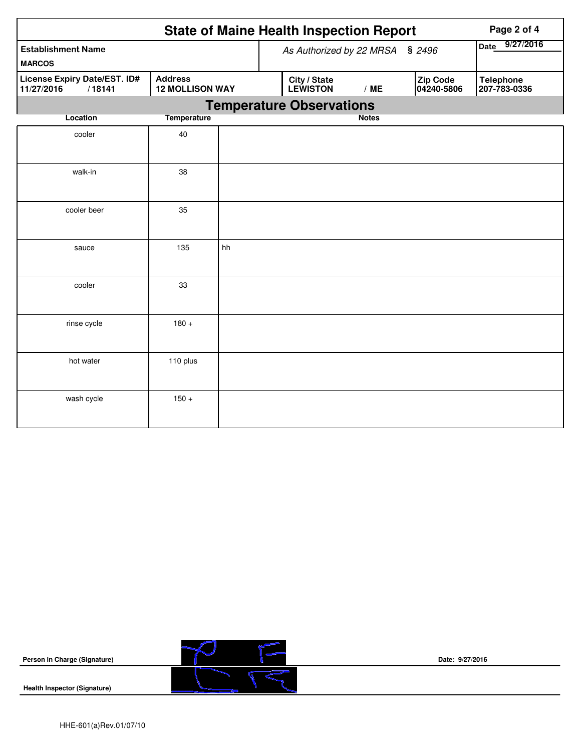|                                                      |                    |                                 |                   | <b>State of Maine Health Inspection Report</b> | Page 2 of 4  |                        |                                  |
|------------------------------------------------------|--------------------|---------------------------------|-------------------|------------------------------------------------|--------------|------------------------|----------------------------------|
| <b>Establishment Name</b>                            |                    | As Authorized by 22 MRSA § 2496 | 9/27/2016<br>Date |                                                |              |                        |                                  |
| <b>MARCOS</b>                                        |                    |                                 |                   |                                                |              |                        |                                  |
| License Expiry Date/EST. ID#<br>11/27/2016<br>/18141 | <b>Address</b>     | <b>12 MOLLISON WAY</b>          |                   | City / State<br><b>LEWISTON</b>                | /ME          | Zip Code<br>04240-5806 | <b>Telephone</b><br>207-783-0336 |
|                                                      |                    | <b>Temperature Observations</b> |                   |                                                |              |                        |                                  |
| <b>Location</b>                                      | <b>Temperature</b> |                                 |                   |                                                | <b>Notes</b> |                        |                                  |
| cooler                                               | 40                 |                                 |                   |                                                |              |                        |                                  |
| walk-in                                              | 38                 |                                 |                   |                                                |              |                        |                                  |
| cooler beer                                          | 35                 |                                 |                   |                                                |              |                        |                                  |
| sauce                                                | 135                | hh                              |                   |                                                |              |                        |                                  |
| cooler                                               | 33                 |                                 |                   |                                                |              |                        |                                  |
| rinse cycle                                          | $180 +$            |                                 |                   |                                                |              |                        |                                  |
| hot water                                            | 110 plus           |                                 |                   |                                                |              |                        |                                  |
| wash cycle                                           | $150 +$            |                                 |                   |                                                |              |                        |                                  |



**Date: 9/27/2016**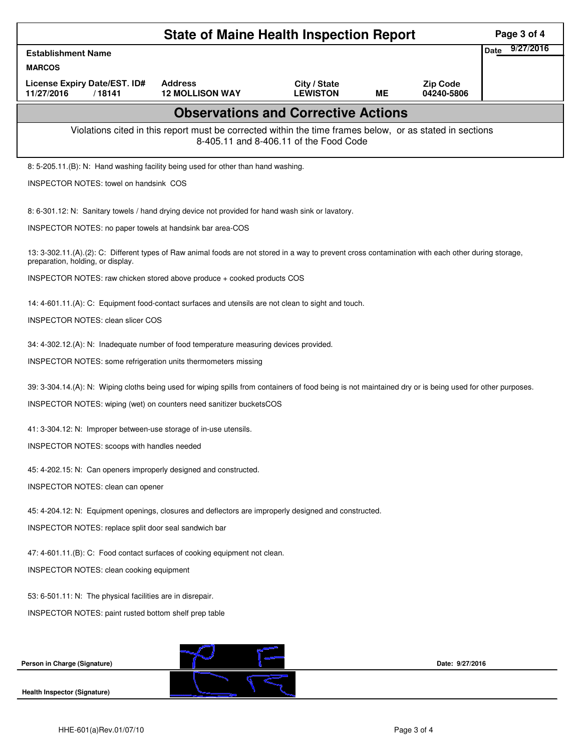| <b>State of Maine Health Inspection Report</b><br>Page 3 of 4                                                                                            |                                                                                                                                                     |                 |    |                 |                          |  |  |  |  |
|----------------------------------------------------------------------------------------------------------------------------------------------------------|-----------------------------------------------------------------------------------------------------------------------------------------------------|-----------------|----|-----------------|--------------------------|--|--|--|--|
| <b>Establishment Name</b>                                                                                                                                |                                                                                                                                                     |                 |    |                 | 9/27/2016<br><b>Date</b> |  |  |  |  |
| <b>MARCOS</b><br>License Expiry Date/EST. ID#                                                                                                            | <b>Address</b>                                                                                                                                      | City / State    |    | <b>Zip Code</b> |                          |  |  |  |  |
| 11/27/2016<br>/18141                                                                                                                                     | <b>12 MOLLISON WAY</b>                                                                                                                              | <b>LEWISTON</b> | ME | 04240-5806      |                          |  |  |  |  |
| <b>Observations and Corrective Actions</b>                                                                                                               |                                                                                                                                                     |                 |    |                 |                          |  |  |  |  |
| Violations cited in this report must be corrected within the time frames below, or as stated in sections<br>8-405.11 and 8-406.11 of the Food Code       |                                                                                                                                                     |                 |    |                 |                          |  |  |  |  |
|                                                                                                                                                          | 8: 5-205.11.(B): N: Hand washing facility being used for other than hand washing.                                                                   |                 |    |                 |                          |  |  |  |  |
|                                                                                                                                                          | INSPECTOR NOTES: towel on handsink COS                                                                                                              |                 |    |                 |                          |  |  |  |  |
|                                                                                                                                                          | 8: 6-301.12: N: Sanitary towels / hand drying device not provided for hand wash sink or lavatory.                                                   |                 |    |                 |                          |  |  |  |  |
| INSPECTOR NOTES: no paper towels at handsink bar area-COS                                                                                                |                                                                                                                                                     |                 |    |                 |                          |  |  |  |  |
| preparation, holding, or display.                                                                                                                        | 13: 3-302.11.(A).(2): C: Different types of Raw animal foods are not stored in a way to prevent cross contamination with each other during storage, |                 |    |                 |                          |  |  |  |  |
| INSPECTOR NOTES: raw chicken stored above produce + cooked products COS                                                                                  |                                                                                                                                                     |                 |    |                 |                          |  |  |  |  |
| 14: 4-601.11.(A): C: Equipment food-contact surfaces and utensils are not clean to sight and touch.                                                      |                                                                                                                                                     |                 |    |                 |                          |  |  |  |  |
|                                                                                                                                                          | INSPECTOR NOTES: clean slicer COS                                                                                                                   |                 |    |                 |                          |  |  |  |  |
| 34: 4-302.12.(A): N: Inadequate number of food temperature measuring devices provided.                                                                   |                                                                                                                                                     |                 |    |                 |                          |  |  |  |  |
| INSPECTOR NOTES: some refrigeration units thermometers missing                                                                                           |                                                                                                                                                     |                 |    |                 |                          |  |  |  |  |
| 39: 3-304.14.(A): N: Wiping cloths being used for wiping spills from containers of food being is not maintained dry or is being used for other purposes. |                                                                                                                                                     |                 |    |                 |                          |  |  |  |  |
| INSPECTOR NOTES: wiping (wet) on counters need sanitizer bucketsCOS                                                                                      |                                                                                                                                                     |                 |    |                 |                          |  |  |  |  |
| 41: 3-304.12: N: Improper between-use storage of in-use utensils.                                                                                        |                                                                                                                                                     |                 |    |                 |                          |  |  |  |  |
| INSPECTOR NOTES: scoops with handles needed                                                                                                              |                                                                                                                                                     |                 |    |                 |                          |  |  |  |  |
| 45: 4-202.15: N: Can openers improperly designed and constructed.                                                                                        |                                                                                                                                                     |                 |    |                 |                          |  |  |  |  |
| INSPECTOR NOTES: clean can opener                                                                                                                        |                                                                                                                                                     |                 |    |                 |                          |  |  |  |  |
|                                                                                                                                                          | 45: 4-204.12: N: Equipment openings, closures and deflectors are improperly designed and constructed.                                               |                 |    |                 |                          |  |  |  |  |
|                                                                                                                                                          | INSPECTOR NOTES: replace split door seal sandwich bar                                                                                               |                 |    |                 |                          |  |  |  |  |
| 47: 4-601.11.(B): C: Food contact surfaces of cooking equipment not clean.                                                                               |                                                                                                                                                     |                 |    |                 |                          |  |  |  |  |
| INSPECTOR NOTES: clean cooking equipment                                                                                                                 |                                                                                                                                                     |                 |    |                 |                          |  |  |  |  |
| 53: 6-501.11: N: The physical facilities are in disrepair.                                                                                               |                                                                                                                                                     |                 |    |                 |                          |  |  |  |  |
| INSPECTOR NOTES: paint rusted bottom shelf prep table                                                                                                    |                                                                                                                                                     |                 |    |                 |                          |  |  |  |  |
|                                                                                                                                                          |                                                                                                                                                     |                 |    |                 |                          |  |  |  |  |
| Person in Charge (Signature)                                                                                                                             |                                                                                                                                                     |                 |    | Date: 9/27/2016 |                          |  |  |  |  |
|                                                                                                                                                          |                                                                                                                                                     |                 |    |                 |                          |  |  |  |  |
| <b>Health Inspector (Signature)</b>                                                                                                                      |                                                                                                                                                     |                 |    |                 |                          |  |  |  |  |